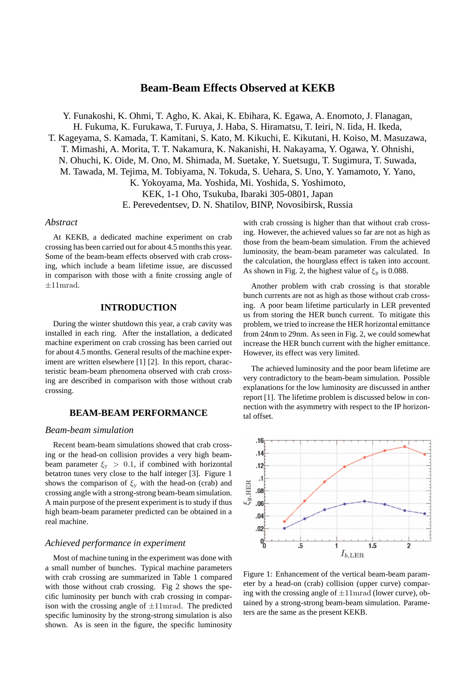# **Beam-Beam Effects Observed at KEKB**

Y. Funakoshi, K. Ohmi, T. Agho, K. Akai, K. Ebihara, K. Egawa, A. Enomoto, J. Flanagan, H. Fukuma, K. Furukawa, T. Furuya, J. Haba, S. Hiramatsu, T. Ieiri, N. Iida, H. Ikeda, T. Kageyama, S. Kamada, T. Kamitani, S. Kato, M. Kikuchi, E. Kikutani, H. Koiso, M. Masuzawa, T. Mimashi, A. Morita, T. T. Nakamura, K. Nakanishi, H. Nakayama, Y. Ogawa, Y. Ohnishi, N. Ohuchi, K. Oide, M. Ono, M. Shimada, M. Suetake, Y. Suetsugu, T. Sugimura, T. Suwada, M. Tawada, M. Tejima, M. Tobiyama, N. Tokuda, S. Uehara, S. Uno, Y. Yamamoto, Y. Yano, K. Yokoyama, Ma. Yoshida, Mi. Yoshida, S. Yoshimoto, KEK, 1-1 Oho, Tsukuba, Ibaraki 305-0801, Japan E. Perevedentsev, D. N. Shatilov, BINP, Novosibirsk, Russia

## *Abstract*

At KEKB, a dedicated machine experiment on crab crossing has been carried out for about 4.5 months this year. Some of the beam-beam effects observed with crab crossing, which include a beam lifetime issue, are discussed in comparison with those with a finite crossing angle of  $\pm 11$ mrad.

### **INTRODUCTION**

During the winter shutdown this year, a crab cavity was installed in each ring. After the installation, a dedicated machine experiment on crab crossing has been carried out for about 4.5 months. General results of the machine experiment are written elsewhere [1] [2]. In this report, characteristic beam-beam phenomena observed with crab crossing are described in comparison with those without crab crossing.

### **BEAM-BEAM PERFORMANCE**

#### *Beam-beam simulation*

Recent beam-beam simulations showed that crab crossing or the head-on collision provides a very high beambeam parameter  $\xi_y > 0.1$ , if combined with horizontal betatron tunes very close to the half integer [3]. Figure 1 shows the comparison of  $\xi_y$  with the head-on (crab) and crossing angle with a strong-strong beam-beam simulation. A main purpose of the present experiment is to study if thus high beam-beam parameter predicted can be obtained in a real machine.

### *Achieved performance in experiment*

Most of machine tuning in the experiment was done with a small number of bunches. Typical machine parameters with crab crossing are summarized in Table 1 compared with those without crab crossing. Fig 2 shows the specific luminosity per bunch with crab crossing in comparison with the crossing angle of  $\pm 11$ mrad. The predicted specific luminosity by the strong-strong simulation is also shown. As is seen in the figure, the specific luminosity

with crab crossing is higher than that without crab crossing. However, the achieved values so far are not as high as those from the beam-beam simulation. From the achieved luminosity, the beam-beam parameter was calculated. In the calculation, the hourglass effect is taken into account. As shown in Fig. 2, the highest value of  $\xi_y$  is 0.088.

Another problem with crab crossing is that storable bunch currents are not as high as those without crab crossing. A poor beam lifetime particularly in LER prevented us from storing the HER bunch current. To mitigate this problem, we tried to increase the HER horizontal emittance from 24nm to 29nm. As seen in Fig. 2, we could somewhat increase the HER bunch current with the higher emittance. However, its effect was very limited.

The achieved luminosity and the poor beam lifetime are very contradictory to the beam-beam simulation. Possible explanations for the low luminosity are discussed in anther report [1]. The lifetime problem is discussed below in connection with the asymmetry with respect to the IP horizontal offset.



Figure 1: Enhancement of the vertical beam-beam parameter by a head-on (crab) collision (upper curve) comparing with the crossing angle of  $\pm 11$ mrad (lower curve), obtained by a strong-strong beam-beam simulation. Parameters are the same as the present KEKB.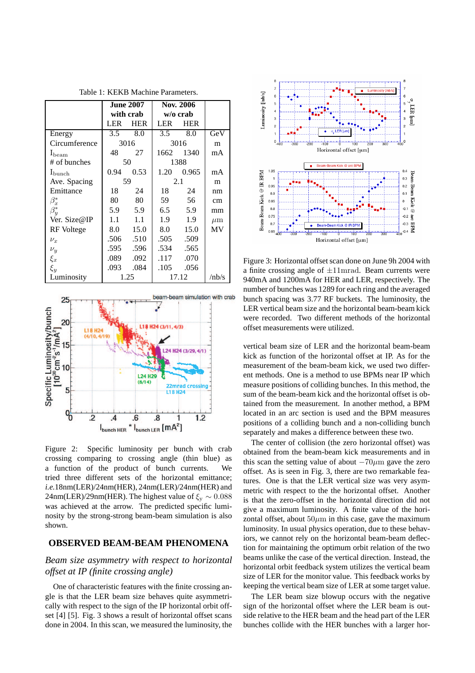|                    | <b>June 2007</b> |            | Nov. 2006  |            |         |
|--------------------|------------------|------------|------------|------------|---------|
|                    | with crab        |            | w/o crab   |            |         |
|                    | LER              | <b>HER</b> | <b>LER</b> | <b>HER</b> |         |
| Energy             | 3.5              | 8.0        | 3.5        | 8.0        | GeV     |
| Circumference      | 3016             |            | 3016       |            | m       |
| $I_{\text{beam}}$  | 48               | 27         | 1662       | 1340       | mA      |
| # of bunches       | 50               |            | 1388       |            |         |
| $I_{\text{bunch}}$ | 0.94             | 0.53       | 1.20       | 0.965      | mA      |
| Ave. Spacing       | 59               |            | 2.1        |            | m       |
| Emittance          | 18               | 24         | 18         | 24         | nm      |
| $\beta_x^*$        | 80               | 80         | 59         | 56         | cm      |
| $\beta_y^*$        | 5.9              | 5.9        | 6.5        | 5.9        | mm      |
| Ver. Size@IP       | 1.1              | 1.1        | 1.9        | 1.9        | $\mu$ m |
| RF Voltege         | 8.0              | 15.0       | 8.0        | 15.0       | MV      |
| $\nu_x$            | .506             | .510       | .505       | .509       |         |
| $\nu_y$            | .595             | .596       | .534       | .565       |         |
| $\xi_x$            | .089             | .092       | .117       | .070       |         |
| $\xi_y$            | .093             | .084       | .105       | .056       |         |
| Luminosity         | 1.25             |            | 17.12      |            | /nb/s   |



Figure 2: Specific luminosity per bunch with crab crossing comparing to crossing angle (thin blue) as a function of the product of bunch currents. We tried three different sets of the horizontal emittance; *i.e.*18nm(LER)/24nm(HER), 24nm(LER)/24nm(HER) and 24nm(LER)/29nm(HER). The highest value of  $\xi_v \sim 0.088$ was achieved at the arrow. The predicted specific luminosity by the strong-strong beam-beam simulation is also shown.

### **OBSERVED BEAM-BEAM PHENOMENA**

## *Beam size asymmetry with respect to horizontal offset at IP (finite crossing angle)*

One of characteristic features with the finite crossing angle is that the LER beam size behaves quite asymmetrically with respect to the sign of the IP horizontal orbit offset [4] [5]. Fig. 3 shows a result of horizontal offset scans done in 2004. In this scan, we measured the luminosity, the



Figure 3: Horizontal offset scan done on June 9h 2004 with a finite crossing angle of  $\pm 11$ mrad. Beam currents were 940mA and 1200mA for HER and LER, respectively. The number of bunches was 1289 for each ring and the averaged bunch spacing was 3.77 RF buckets. The luminosity, the LER vertical beam size and the horizontal beam-beam kick were recorded. Two different methods of the horizontal offset measurements were utilized.

vertical beam size of LER and the horizontal beam-beam kick as function of the horizontal offset at IP. As for the measurement of the beam-beam kick, we used two different methods. One is a method to use BPMs near IP which measure positions of colliding bunches. In this method, the sum of the beam-beam kick and the horizontal offset is obtained from the measurement. In another method, a BPM located in an arc section is used and the BPM measures positions of a colliding bunch and a non-colliding bunch separately and makes a difference between these two.

The center of collision (the zero horizontal offset) was obtained from the beam-beam kick measurements and in this scan the setting value of about  $-70\mu$ m gave the zero offset. As is seen in Fig. 3, there are two remarkable features. One is that the LER vertical size was very asymmetric with respect to the the horizontal offset. Another is that the zero-offset in the horizontal direction did not give a maximum luminosity. A finite value of the horizontal offset, about  $50\mu m$  in this case, gave the maximum luminosity. In usual physics operation, due to these behaviors, we cannot rely on the horizontal beam-beam deflection for maintaining the optimum orbit relation of the two beams unlike the case of the vertical direction. Instead, the horizontal orbit feedback system utilizes the vertical beam size of LER for the monitor value. This feedback works by keeping the vertical beam size of LER at some target value.

The LER beam size blowup occurs with the negative sign of the horizontal offset where the LER beam is outside relative to the HER beam and the head part of the LER bunches collide with the HER bunches with a larger hor